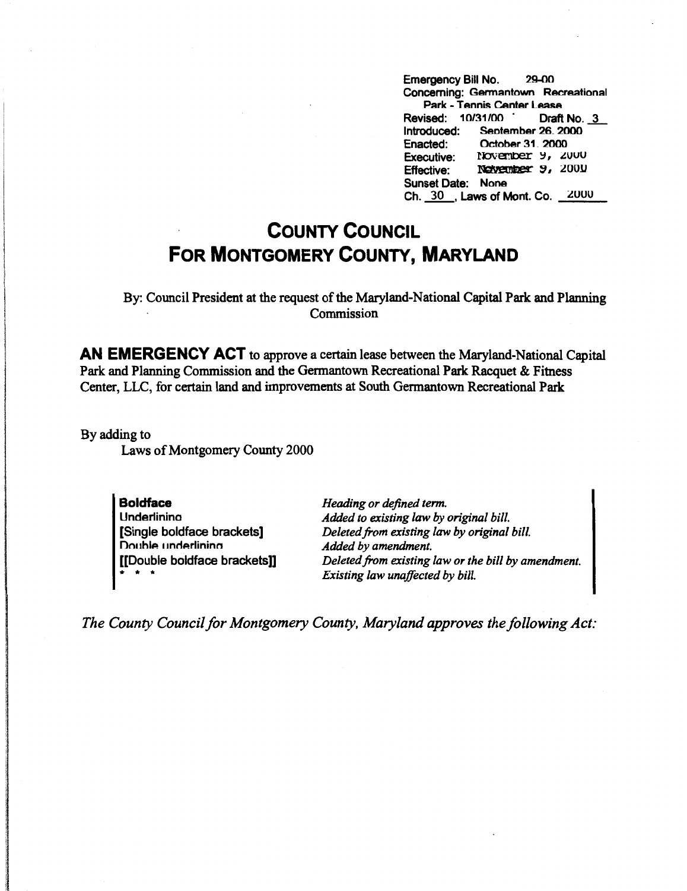Emergency Bill No. 29-00 Concerning: Germantown Recreational **Park - Tennis Center Lease** Revised: 10/31/00 **· Draft No. 3**<br>Introduced: September 26, 2000 Introduced: Sentember 26, 2000<br>Enacted: October 31, 2000 October 31, 2000 Executive: November 9, 2000 Effective: Netventeer 9, 2000 Sunset Date: None Ch. 30 . Laws of Mont. Co.  $: 2000$ 

## **COUNTY COUNCIL FOR MONTGOMERY COUNTY, MARYLAND**

By: Council President at the request of the Maryland-National Capital Park and Planning **Commission** 

**AN EMERGENCY ACT** to approve a certain lease between the Maryland-National Capital Park and Planning Commission and the Germantown Recreational Park Racquet & Fitness Center, LLC, for certain land and improvements at South Germantown Recreational Park

By adding to Laws of Montgomery County 2000

> **Boldface Underlinino** [Single boldface brackets] Double underlining [[Double boldface brackets]] \* \* \*

*Heading or defined term. Added to existing law by original bill. Deleted from existing law by original bill. Added by amendment. Deleted from existing law or the bill by amendment. Existing law unaffected by bill.* 

*The County Council for Montgomery County, Maryland approves the following Act:*